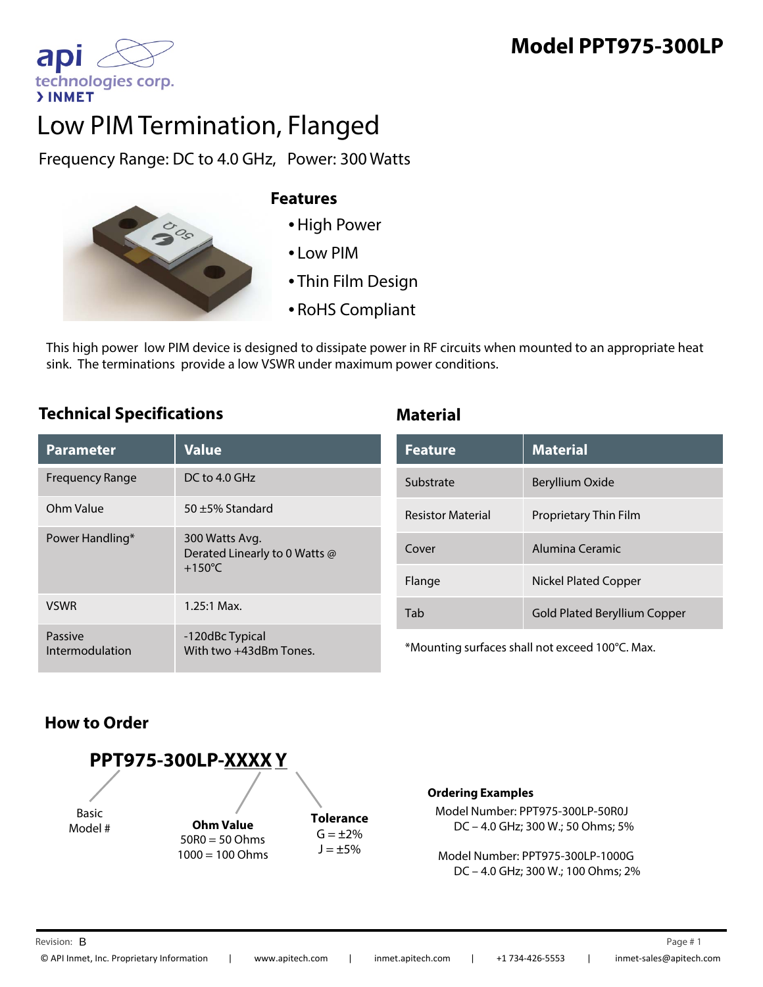# **Model PPT975-300LP**

apl technologies corp. **>INMET** 

# Low PIM Termination, Flanged

Frequency Range: DC to 4.0 GHz, Power: 300 Watts



#### **Features**

- •High Power
- Low PIM
- Thin Film Design
- RoHS Compliant

This high power low PIM device is designed to dissipate power in RF circuits when mounted to an appropriate heat sink. The terminations provide a low VSWR under maximum power conditions.

#### **Technical Specifications Material**

| <b>Parameter</b>           | <b>Value</b>                                                        |
|----------------------------|---------------------------------------------------------------------|
| Frequency Range            | $DC$ to $4.0$ GHz                                                   |
| Ohm Value                  | 50 $\pm$ 5% Standard                                                |
| Power Handling*            | 300 Watts Avg.<br>Derated Linearly to 0 Watts @<br>$+150^{\circ}$ C |
| <b>VSWR</b>                | $1.25:1$ Max.                                                       |
| Passive<br>Intermodulation | -120dBc Typical<br>With two +43dBm Tones.                           |

| <b>Feature</b>           | <b>Material</b>              |
|--------------------------|------------------------------|
| Substrate                | Beryllium Oxide              |
| <b>Resistor Material</b> | Proprietary Thin Film        |
| Cover                    | Alumina Ceramic              |
| Flange                   | Nickel Plated Copper         |
| Tah                      | Gold Plated Beryllium Copper |

\*Mounting surfaces shall not exceed 100°C. Max.

### **How to Order**



#### **Ordering Examples**

Model Number: PPT975-300LP-50R0J DC – 4.0 GHz; 300 W.; 50 Ohms; 5%

Model Number: PPT975-300LP-1000G DC – 4.0 GHz; 300 W.; 100 Ohms; 2%